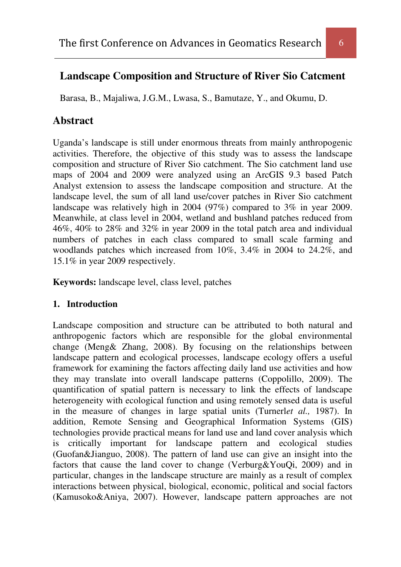# **Landscape Composition and Structure of River Sio Catcment**

Barasa, B., Majaliwa, J.G.M., Lwasa, S., Bamutaze, Y., and Okumu, D.

## **Abstract**

Uganda's landscape is still under enormous threats from mainly anthropogenic activities. Therefore, the objective of this study was to assess the landscape composition and structure of River Sio catchment. The Sio catchment land use maps of 2004 and 2009 were analyzed using an ArcGIS 9.3 based Patch Analyst extension to assess the landscape composition and structure. At the landscape level, the sum of all land use/cover patches in River Sio catchment landscape was relatively high in 2004 (97%) compared to 3% in year 2009. Meanwhile, at class level in 2004, wetland and bushland patches reduced from 46%, 40% to 28% and 32% in year 2009 in the total patch area and individual numbers of patches in each class compared to small scale farming and woodlands patches which increased from 10%, 3.4% in 2004 to 24.2%, and 15.1% in year 2009 respectively.

**Keywords:** landscape level, class level, patches

## **1. Introduction**

Landscape composition and structure can be attributed to both natural and anthropogenic factors which are responsible for the global environmental change (Meng& Zhang, 2008). By focusing on the relationships between landscape pattern and ecological processes, landscape ecology offers a useful framework for examining the factors affecting daily land use activities and how they may translate into overall landscape patterns (Coppolillo, 2009). The quantification of spatial pattern is necessary to link the effects of landscape heterogeneity with ecological function and using remotely sensed data is useful in the measure of changes in large spatial units (Turnerl*et al.,* 1987). In addition, Remote Sensing and Geographical Information Systems (GIS) technologies provide practical means for land use and land cover analysis which is critically important for landscape pattern and ecological studies (Guofan&Jianguo, 2008). The pattern of land use can give an insight into the factors that cause the land cover to change (Verburg&YouQi, 2009) and in particular, changes in the landscape structure are mainly as a result of complex interactions between physical, biological, economic, political and social factors (Kamusoko&Aniya, 2007). However, landscape pattern approaches are not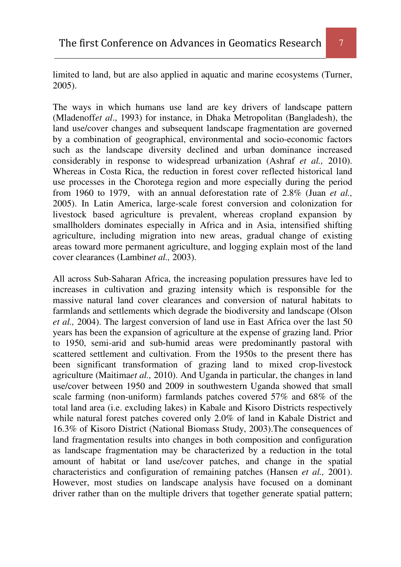limited to land, but are also applied in aquatic and marine ecosystems (Turner, 2005).

The ways in which humans use land are key drivers of landscape pattern (Mladenoff*et al*., 1993) for instance, in Dhaka Metropolitan (Bangladesh), the land use/cover changes and subsequent landscape fragmentation are governed by a combination of geographical, environmental and socio-economic factors such as the landscape diversity declined and urban dominance increased considerably in response to widespread urbanization (Ashraf *et al.,* 2010). Whereas in Costa Rica, the reduction in forest cover reflected historical land use processes in the Chorotega region and more especially during the period from 1960 to 1979, with an annual deforestation rate of 2.8% (Juan *et al.,* 2005). In Latin America, large-scale forest conversion and colonization for livestock based agriculture is prevalent, whereas cropland expansion by smallholders dominates especially in Africa and in Asia, intensified shifting agriculture, including migration into new areas, gradual change of existing areas toward more permanent agriculture, and logging explain most of the land cover clearances (Lambin*et al.,* 2003).

All across Sub-Saharan Africa, the increasing population pressures have led to increases in cultivation and grazing intensity which is responsible for the massive natural land cover clearances and conversion of natural habitats to farmlands and settlements which degrade the biodiversity and landscape (Olson *et al.,* 2004). The largest conversion of land use in East Africa over the last 50 years has been the expansion of agriculture at the expense of grazing land. Prior to 1950, semi-arid and sub-humid areas were predominantly pastoral with scattered settlement and cultivation. From the 1950s to the present there has been significant transformation of grazing land to mixed crop-livestock agriculture (Maitima*et al.,* 2010). And Uganda in particular, the changes in land use/cover between 1950 and 2009 in southwestern Uganda showed that small scale farming (non-uniform) farmlands patches covered 57% and 68% of the total land area (i.e. excluding lakes) in Kabale and Kisoro Districts respectively while natural forest patches covered only 2.0% of land in Kabale District and 16.3% of Kisoro District (National Biomass Study, 2003).The consequences of land fragmentation results into changes in both composition and configuration as landscape fragmentation may be characterized by a reduction in the total amount of habitat or land use/cover patches, and change in the spatial characteristics and configuration of remaining patches (Hansen *et al.,* 2001). However, most studies on landscape analysis have focused on a dominant driver rather than on the multiple drivers that together generate spatial pattern;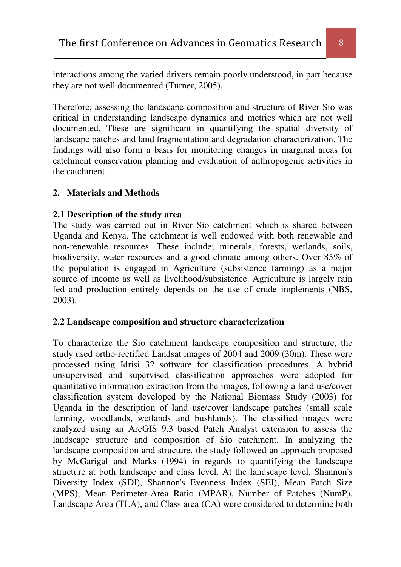interactions among the varied drivers remain poorly understood, in part because they are not well documented (Turner, 2005).

Therefore, assessing the landscape composition and structure of River Sio was critical in understanding landscape dynamics and metrics which are not well documented. These are significant in quantifying the spatial diversity of landscape patches and land fragmentation and degradation characterization. The findings will also form a basis for monitoring changes in marginal areas for catchment conservation planning and evaluation of anthropogenic activities in the catchment.

#### **2. Materials and Methods**

#### **2.1 Description of the study area**

The study was carried out in River Sio catchment which is shared between Uganda and Kenya. The catchment is well endowed with both renewable and non-renewable resources. These include; minerals, forests, wetlands, soils, biodiversity, water resources and a good climate among others. Over 85% of the population is engaged in Agriculture (subsistence farming) as a major source of income as well as livelihood/subsistence. Agriculture is largely rain fed and production entirely depends on the use of crude implements (NBS, 2003).

#### **2.2 Landscape composition and structure characterization**

To characterize the Sio catchment landscape composition and structure, the study used ortho-rectified Landsat images of 2004 and 2009 (30m). These were processed using Idrisi 32 software for classification procedures. A hybrid unsupervised and supervised classification approaches were adopted for quantitative information extraction from the images, following a land use/cover classification system developed by the National Biomass Study (2003) for Uganda in the description of land use/cover landscape patches (small scale farming, woodlands, wetlands and bushlands). The classified images were analyzed using an ArcGIS 9.3 based Patch Analyst extension to assess the landscape structure and composition of Sio catchment. In analyzing the landscape composition and structure, the study followed an approach proposed by McGarigal and Marks (1994) in regards to quantifying the landscape structure at both landscape and class level. At the landscape level, Shannon's Diversity Index (SDI), Shannon's Evenness Index (SEI), Mean Patch Size (MPS), Mean Perimeter-Area Ratio (MPAR), Number of Patches (NumP), Landscape Area (TLA), and Class area (CA) were considered to determine both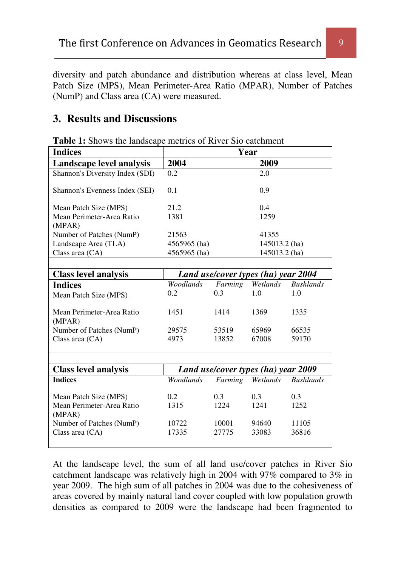diversity and patch abundance and distribution whereas at class level, Mean Patch Size (MPS), Mean Perimeter-Area Ratio (MPAR), Number of Patches (NumP) and Class area (CA) were measured.

## **3. Results and Discussions**

| <b>Indices</b>                      | Year                                |               |          |                  |
|-------------------------------------|-------------------------------------|---------------|----------|------------------|
| Landscape level analysis            | 2004                                |               | 2009     |                  |
| Shannon's Diversity Index (SDI)     | 0.2                                 |               | 2.0      |                  |
| Shannon's Evenness Index (SEI)      | 0.1                                 |               | 0.9      |                  |
| Mean Patch Size (MPS)               | 21.2                                |               | 0.4      |                  |
| Mean Perimeter-Area Ratio<br>(MPAR) | 1381                                |               | 1259     |                  |
| Number of Patches (NumP)            | 21563                               | 41355         |          |                  |
| Landscape Area (TLA)                | 4565965 (ha)                        | 145013.2 (ha) |          |                  |
| Class area (CA)                     | 4565965 (ha)<br>145013.2 (ha)       |               |          |                  |
|                                     |                                     |               |          |                  |
| <b>Class level analysis</b>         | Land use/cover types (ha) year 2004 |               |          |                  |
| <b>Indices</b>                      | Woodlands                           | Farming       | Wetlands | <b>Bushlands</b> |
| Mean Patch Size (MPS)               | 0.2                                 | 0.3           | 1.0      | 1.0              |
| Mean Perimeter-Area Ratio<br>(MPAR) | 1451                                | 1414          | 1369     | 1335             |
| Number of Patches (NumP)            | 29575                               | 53519         | 65969    | 66535            |
| Class area (CA)                     | 4973                                | 13852         | 67008    | 59170            |
|                                     |                                     |               |          |                  |
| <b>Class level analysis</b>         | Land use/cover types (ha) year 2009 |               |          |                  |
| <b>Indices</b>                      | Woodlands                           | Farming       | Wetlands | <b>Bushlands</b> |
| Mean Patch Size (MPS)               | 0.2                                 | 0.3           | 0.3      | 0.3              |
| Mean Perimeter-Area Ratio<br>(MPAR) | 1315                                | 1224          | 1241     | 1252             |
| Number of Patches (NumP)            | 10722                               | 10001         | 94640    | 11105            |
| Class area (CA)                     | 17335                               | 27775         | 33083    | 36816            |
|                                     |                                     |               |          |                  |

**Table 1:** Shows the landscape metrics of River Sio catchment

At the landscape level, the sum of all land use/cover patches in River Sio catchment landscape was relatively high in 2004 with 97% compared to 3% in year 2009. The high sum of all patches in 2004 was due to the cohesiveness of areas covered by mainly natural land cover coupled with low population growth densities as compared to 2009 were the landscape had been fragmented to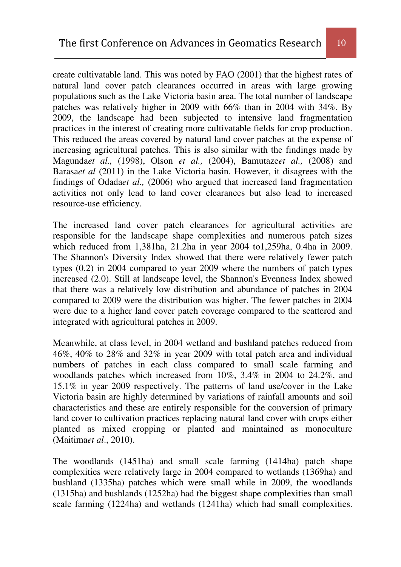create cultivatable land. This was noted by FAO (2001) that the highest rates of natural land cover patch clearances occurred in areas with large growing populations such as the Lake Victoria basin area. The total number of landscape patches was relatively higher in 2009 with 66% than in 2004 with 34%. By 2009, the landscape had been subjected to intensive land fragmentation practices in the interest of creating more cultivatable fields for crop production. This reduced the areas covered by natural land cover patches at the expense of increasing agricultural patches. This is also similar with the findings made by Magunda*et al.,* (1998), Olson *et al.,* (2004), Bamutaze*et al.,* (2008) and Barasa*et al* (2011) in the Lake Victoria basin. However, it disagrees with the findings of Odada*et al.,* (2006) who argued that increased land fragmentation activities not only lead to land cover clearances but also lead to increased resource-use efficiency.

The increased land cover patch clearances for agricultural activities are responsible for the landscape shape complexities and numerous patch sizes which reduced from 1,381ha, 21.2ha in year 2004 to1,259ha, 0.4ha in 2009. The Shannon's Diversity Index showed that there were relatively fewer patch types (0.2) in 2004 compared to year 2009 where the numbers of patch types increased (2.0). Still at landscape level, the Shannon's Evenness Index showed that there was a relatively low distribution and abundance of patches in 2004 compared to 2009 were the distribution was higher. The fewer patches in 2004 were due to a higher land cover patch coverage compared to the scattered and integrated with agricultural patches in 2009.

Meanwhile, at class level, in 2004 wetland and bushland patches reduced from 46%, 40% to 28% and 32% in year 2009 with total patch area and individual numbers of patches in each class compared to small scale farming and woodlands patches which increased from 10%, 3.4% in 2004 to 24.2%, and 15.1% in year 2009 respectively. The patterns of land use/cover in the Lake Victoria basin are highly determined by variations of rainfall amounts and soil characteristics and these are entirely responsible for the conversion of primary land cover to cultivation practices replacing natural land cover with crops either planted as mixed cropping or planted and maintained as monoculture (Maitima*et al*., 2010).

The woodlands (1451ha) and small scale farming (1414ha) patch shape complexities were relatively large in 2004 compared to wetlands (1369ha) and bushland (1335ha) patches which were small while in 2009, the woodlands (1315ha) and bushlands (1252ha) had the biggest shape complexities than small scale farming (1224ha) and wetlands (1241ha) which had small complexities.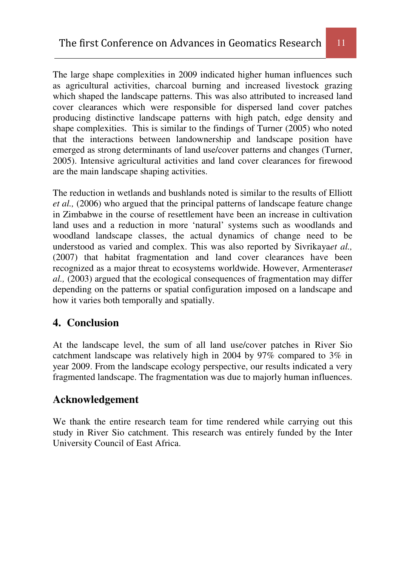The large shape complexities in 2009 indicated higher human influences such as agricultural activities, charcoal burning and increased livestock grazing which shaped the landscape patterns. This was also attributed to increased land cover clearances which were responsible for dispersed land cover patches producing distinctive landscape patterns with high patch, edge density and shape complexities. This is similar to the findings of Turner (2005) who noted that the interactions between landownership and landscape position have emerged as strong determinants of land use/cover patterns and changes (Turner, 2005). Intensive agricultural activities and land cover clearances for firewood are the main landscape shaping activities.

The reduction in wetlands and bushlands noted is similar to the results of Elliott *et al.,* (2006) who argued that the principal patterns of landscape feature change in Zimbabwe in the course of resettlement have been an increase in cultivation land uses and a reduction in more 'natural' systems such as woodlands and woodland landscape classes, the actual dynamics of change need to be understood as varied and complex. This was also reported by Sivrikaya*et al.,* (2007) that habitat fragmentation and land cover clearances have been recognized as a major threat to ecosystems worldwide. However, Armenteras*et al.,* (2003) argued that the ecological consequences of fragmentation may differ depending on the patterns or spatial configuration imposed on a landscape and how it varies both temporally and spatially.

# **4. Conclusion**

At the landscape level, the sum of all land use/cover patches in River Sio catchment landscape was relatively high in 2004 by 97% compared to 3% in year 2009. From the landscape ecology perspective, our results indicated a very fragmented landscape. The fragmentation was due to majorly human influences.

# **Acknowledgement**

We thank the entire research team for time rendered while carrying out this study in River Sio catchment. This research was entirely funded by the Inter University Council of East Africa.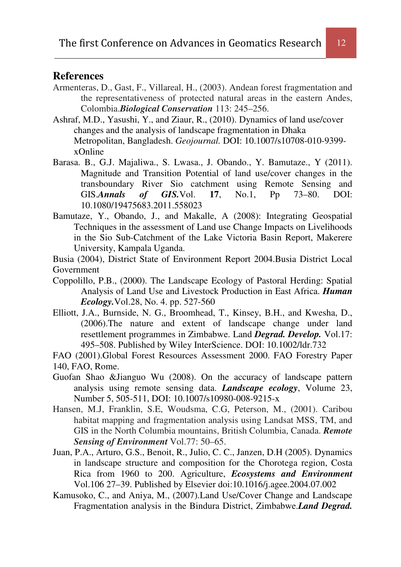## **References**

- Armenteras, D., Gast, F., Villareal, H., (2003). Andean forest fragmentation and the representativeness of protected natural areas in the eastern Andes, Colombia.*Biological Conservation* 113: 245–256.
- Ashraf, M.D., Yasushi, Y., and Ziaur, R., (2010). Dynamics of land use/cover changes and the analysis of landscape fragmentation in Dhaka Metropolitan, Bangladesh. *Geojournal.* DOI: 10.1007/s10708-010-9399 xOnline
- Barasa. B., G.J. Majaliwa., S. Lwasa., J. Obando., Y. Bamutaze., Y (2011). Magnitude and Transition Potential of land use/cover changes in the transboundary River Sio catchment using Remote Sensing and GIS.*Annals of GIS.*Vol. **17**, No.1, Pp 73–80. DOI: 10.1080/19475683.2011.558023
- Bamutaze, Y., Obando, J., and Makalle, A (2008): Integrating Geospatial Techniques in the assessment of Land use Change Impacts on Livelihoods in the Sio Sub-Catchment of the Lake Victoria Basin Report, Makerere University, Kampala Uganda.

Busia (2004), District State of Environment Report 2004.Busia District Local Government

- Coppolillo, P.B., (2000). The Landscape Ecology of Pastoral Herding: Spatial Analysis of Land Use and Livestock Production in East Africa. *Human Ecology.*Vol.28, No. 4. pp. 527-560
- Elliott, J.A., Burnside, N. G., Broomhead, T., Kinsey, B.H., and Kwesha, D., (2006).The nature and extent of landscape change under land resettlement programmes in Zimbabwe. Land *Degrad. Develop.* Vol.17: 495–508. Published by Wiley InterScience. DOI: 10.1002/ldr.732

FAO (2001).Global Forest Resources Assessment 2000. FAO Forestry Paper 140, FAO, Rome.

- Guofan Shao &Jianguo Wu (2008). On the accuracy of landscape pattern analysis using remote sensing data. *Landscape ecology*, Volume 23, Number 5, 505-511, DOI: 10.1007/s10980-008-9215-x
- Hansen, M.J, Franklin, S.E, Woudsma, C.G, Peterson, M., (2001). Caribou habitat mapping and fragmentation analysis using Landsat MSS, TM, and GIS in the North Columbia mountains, British Columbia, Canada. *Remote Sensing of Environment* Vol.77: 50–65.
- Juan, P.A., Arturo, G.S., Benoit, R., Julio, C. C., Janzen, D.H (2005). Dynamics in landscape structure and composition for the Chorotega region, Costa Rica from 1960 to 200. Agriculture, *Ecosystems and Environment* Vol.106 27–39. Published by Elsevier doi:10.1016/j.agee.2004.07.002
- Kamusoko, C., and Aniya, M., (2007).Land Use/Cover Change and Landscape Fragmentation analysis in the Bindura District, Zimbabwe.*Land Degrad.*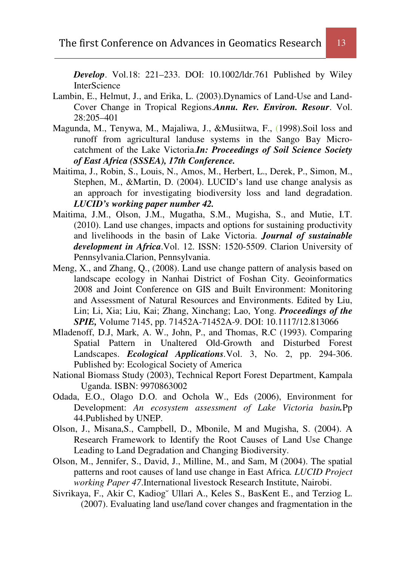*Develop*. Vol.18: 221–233. DOI: 10.1002/ldr.761 Published by Wiley **InterScience** 

- Lambin, E., Helmut, J., and Erika, L. (2003).Dynamics of Land-Use and Land-Cover Change in Tropical Regions.*Annu. Rev. Environ. Resour*. Vol. 28:205–401
- Magunda, M., Tenywa, M., Majaliwa, J., &Musiitwa, F., (1998).Soil loss and runoff from agricultural landuse systems in the Sango Bay Microcatchment of the Lake Victoria.*In: Proceedings of Soil Science Society of East Africa (SSSEA), 17th Conference.*
- Maitima, J., Robin, S., Louis, N., Amos, M., Herbert, L., Derek, P., Simon, M., Stephen, M., &Martin, D. (2004). LUCID's land use change analysis as an approach for investigating biodiversity loss and land degradation. *LUCID's working paper number 42.*
- Maitima, J.M., Olson, J.M., Mugatha, S.M., Mugisha, S., and Mutie, I.T. (2010). Land use changes, impacts and options for sustaining productivity and livelihoods in the basin of Lake Victoria. *Journal of sustainable development in Africa*.Vol. 12. ISSN: 1520-5509. Clarion University of Pennsylvania.Clarion, Pennsylvania.
- Meng, X., and Zhang, Q., (2008). Land use change pattern of analysis based on landscape ecology in Nanhai District of Foshan City. Geoinformatics 2008 and Joint Conference on GIS and Built Environment: Monitoring and Assessment of Natural Resources and Environments. Edited by Liu, Lin; Li, Xia; Liu, Kai; Zhang, Xinchang; Lao, Yong. *Proceedings of the SPIE,* Volume 7145, pp. 71452A-71452A-9. DOI: 10.1117/12.813066
- Mladenoff, D.J, Mark, A. W., John, P., and Thomas, R.C (1993). Comparing Spatial Pattern in Unaltered Old-Growth and Disturbed Forest Landscapes. *Ecological Applications.*Vol. 3, No. 2, pp. 294-306. Published by: Ecological Society of America
- National Biomass Study (2003), Technical Report Forest Department, Kampala Uganda. ISBN: 9970863002
- Odada, E.O., Olago D.O. and Ochola W., Eds (2006), Environment for Development: *An ecosystem assessment of Lake Victoria basin.*Pp 44.Published by UNEP.
- Olson, J., Misana,S., Campbell, D., Mbonile, M and Mugisha, S. (2004). A Research Framework to Identify the Root Causes of Land Use Change Leading to Land Degradation and Changing Biodiversity.
- Olson, M., Jennifer, S., David, J., Milline, M., and Sam, M (2004). The spatial patterns and root causes of land use change in East Africa*. LUCID Project working Paper 47*.International livestock Research Institute, Nairobi.
- Sivrikaya, F., Akir C, Kadiog˘ Ullari A., Keles S., BasKent E., and Terziog L. (2007). Evaluating land use/land cover changes and fragmentation in the